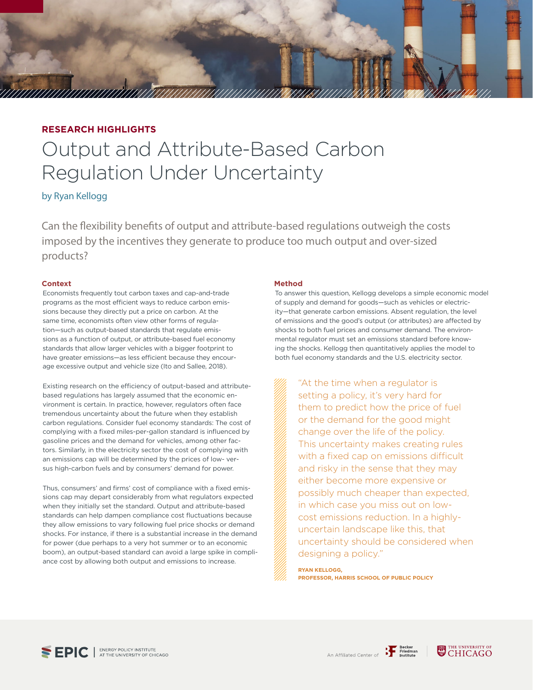

# **RESEARCH HIGHLIGHTS**

# Output and Attribute-Based Carbon Regulation Under Uncertainty

by Ryan Kellogg

Can the flexibility benefits of output and attribute-based regulations outweigh the costs imposed by the incentives they generate to produce too much output and over-sized products?

### **Context**

Economists frequently tout carbon taxes and cap-and-trade programs as the most efficient ways to reduce carbon emissions because they directly put a price on carbon. At the same time, economists often view other forms of regulation—such as output-based standards that regulate emissions as a function of output, or attribute-based fuel economy standards that allow larger vehicles with a bigger footprint to have greater emissions—as less efficient because they encourage excessive output and vehicle size (Ito and Sallee, 2018).

Existing research on the efficiency of output-based and attributebased regulations has largely assumed that the economic environment is certain. In practice, however, regulators often face tremendous uncertainty about the future when they establish carbon regulations. Consider fuel economy standards: The cost of complying with a fixed miles-per-gallon standard is influenced by gasoline prices and the demand for vehicles, among other factors. Similarly, in the electricity sector the cost of complying with an emissions cap will be determined by the prices of low- versus high-carbon fuels and by consumers' demand for power.

Thus, consumers' and firms' cost of compliance with a fixed emissions cap may depart considerably from what regulators expected when they initially set the standard. Output and attribute-based standards can help dampen compliance cost fluctuations because they allow emissions to vary following fuel price shocks or demand shocks. For instance, if there is a substantial increase in the demand for power (due perhaps to a very hot summer or to an economic boom), an output-based standard can avoid a large spike in compliance cost by allowing both output and emissions to increase.

#### **Method**

To answer this question, Kellogg develops a simple economic model of supply and demand for goods—such as vehicles or electricity—that generate carbon emissions. Absent regulation, the level of emissions and the good's output (or attributes) are affected by shocks to both fuel prices and consumer demand. The environmental regulator must set an emissions standard before knowing the shocks. Kellogg then quantitatively applies the model to both fuel economy standards and the U.S. electricity sector.

"At the time when a regulator is setting a policy, it's very hard for them to predict how the price of fuel or the demand for the good might change over the life of the policy. This uncertainty makes creating rules with a fixed cap on emissions difficult and risky in the sense that they may either become more expensive or possibly much cheaper than expected, in which case you miss out on lowcost emissions reduction. In a highlyuncertain landscape like this, that uncertainty should be considered when designing a policy."

**RYAN KELLOGG, PROFESSOR, HARRIS SCHOOL OF PUBLIC POLICY**